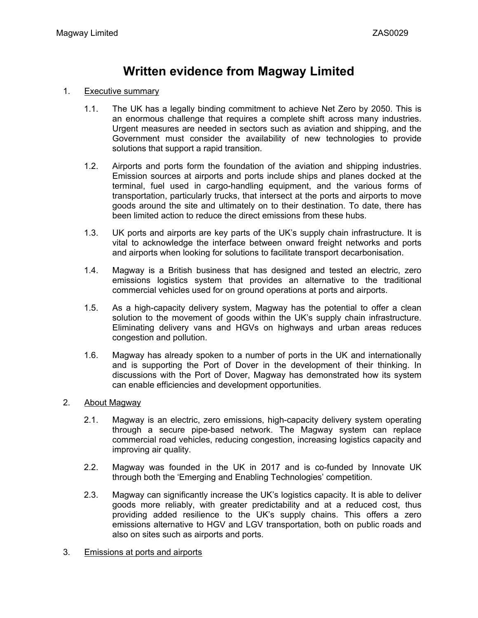# **Written evidence from Magway Limited**

#### 1. Executive summary

- 1.1. The UK has a legally binding commitment to achieve Net Zero by 2050. This is an enormous challenge that requires a complete shift across many industries. Urgent measures are needed in sectors such as aviation and shipping, and the Government must consider the availability of new technologies to provide solutions that support a rapid transition.
- 1.2. Airports and ports form the foundation of the aviation and shipping industries. Emission sources at airports and ports include ships and planes docked at the terminal, fuel used in cargo-handling equipment, and the various forms of transportation, particularly trucks, that intersect at the ports and airports to move goods around the site and ultimately on to their destination. To date, there has been limited action to reduce the direct emissions from these hubs.
- 1.3. UK ports and airports are key parts of the UK's supply chain infrastructure. It is vital to acknowledge the interface between onward freight networks and ports and airports when looking for solutions to facilitate transport decarbonisation.
- 1.4. Magway is a British business that has designed and tested an electric, zero emissions logistics system that provides an alternative to the traditional commercial vehicles used for on ground operations at ports and airports.
- 1.5. As a high-capacity delivery system, Magway has the potential to offer a clean solution to the movement of goods within the UK's supply chain infrastructure. Eliminating delivery vans and HGVs on highways and urban areas reduces congestion and pollution.
- 1.6. Magway has already spoken to a number of ports in the UK and internationally and is supporting the Port of Dover in the development of their thinking. In discussions with the Port of Dover, Magway has demonstrated how its system can enable efficiencies and development opportunities.

## 2. About Magway

- 2.1. Magway is an electric, zero emissions, high-capacity delivery system operating through a secure pipe-based network. The Magway system can replace commercial road vehicles, reducing congestion, increasing logistics capacity and improving air quality.
- 2.2. Magway was founded in the UK in 2017 and is co-funded by Innovate UK through both the 'Emerging and Enabling Technologies' competition.
- 2.3. Magway can significantly increase the UK's logistics capacity. It is able to deliver goods more reliably, with greater predictability and at a reduced cost, thus providing added resilience to the UK's supply chains. This offers a zero emissions alternative to HGV and LGV transportation, both on public roads and also on sites such as airports and ports.
- 3. Emissions at ports and airports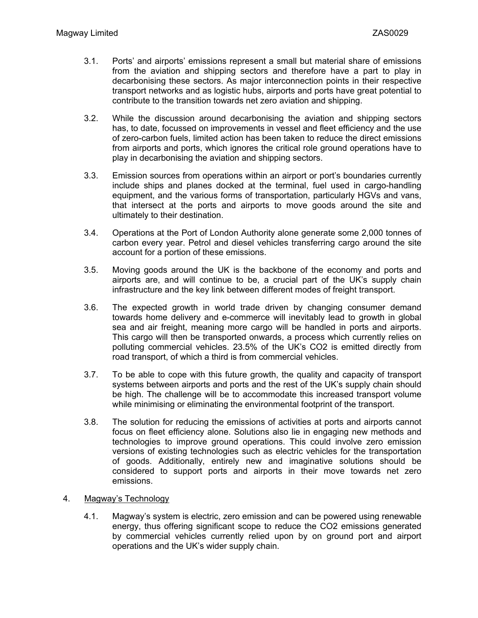- 3.1. Ports' and airports' emissions represent a small but material share of emissions from the aviation and shipping sectors and therefore have a part to play in decarbonising these sectors. As major interconnection points in their respective transport networks and as logistic hubs, airports and ports have great potential to contribute to the transition towards net zero aviation and shipping.
- 3.2. While the discussion around decarbonising the aviation and shipping sectors has, to date, focussed on improvements in vessel and fleet efficiency and the use of zero-carbon fuels, limited action has been taken to reduce the direct emissions from airports and ports, which ignores the critical role ground operations have to play in decarbonising the aviation and shipping sectors.
- 3.3. Emission sources from operations within an airport or port's boundaries currently include ships and planes docked at the terminal, fuel used in cargo-handling equipment, and the various forms of transportation, particularly HGVs and vans, that intersect at the ports and airports to move goods around the site and ultimately to their destination.
- 3.4. Operations at the Port of London Authority alone generate some 2,000 tonnes of carbon every year. Petrol and diesel vehicles transferring cargo around the site account for a portion of these emissions.
- 3.5. Moving goods around the UK is the backbone of the economy and ports and airports are, and will continue to be, a crucial part of the UK's supply chain infrastructure and the key link between different modes of freight transport.
- 3.6. The expected growth in world trade driven by changing consumer demand towards home delivery and e-commerce will inevitably lead to growth in global sea and air freight, meaning more cargo will be handled in ports and airports. This cargo will then be transported onwards, a process which currently relies on polluting commercial vehicles. 23.5% of the UK's CO2 is emitted directly from road transport, of which a third is from commercial vehicles.
- 3.7. To be able to cope with this future growth, the quality and capacity of transport systems between airports and ports and the rest of the UK's supply chain should be high. The challenge will be to accommodate this increased transport volume while minimising or eliminating the environmental footprint of the transport.
- 3.8. The solution for reducing the emissions of activities at ports and airports cannot focus on fleet efficiency alone. Solutions also lie in engaging new methods and technologies to improve ground operations. This could involve zero emission versions of existing technologies such as electric vehicles for the transportation of goods. Additionally, entirely new and imaginative solutions should be considered to support ports and airports in their move towards net zero emissions.

## 4. Magway's Technology

4.1. Magway's system is electric, zero emission and can be powered using renewable energy, thus offering significant scope to reduce the CO2 emissions generated by commercial vehicles currently relied upon by on ground port and airport operations and the UK's wider supply chain.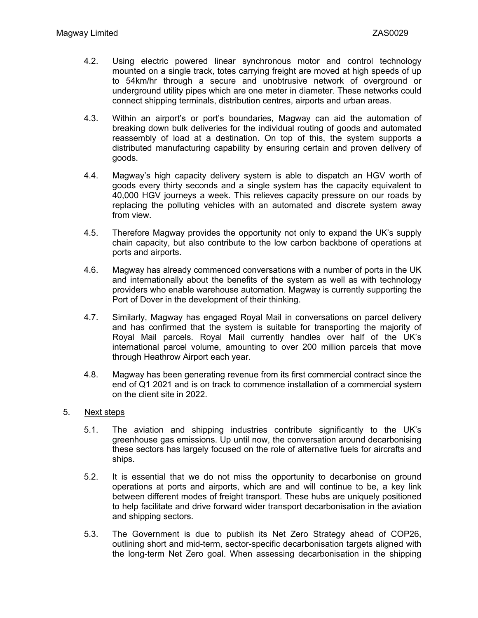- 4.2. Using electric powered linear synchronous motor and control technology mounted on a single track, totes carrying freight are moved at high speeds of up to 54km/hr through a secure and unobtrusive network of overground or underground utility pipes which are one meter in diameter. These networks could connect shipping terminals, distribution centres, airports and urban areas.
- 4.3. Within an airport's or port's boundaries, Magway can aid the automation of breaking down bulk deliveries for the individual routing of goods and automated reassembly of load at a destination. On top of this, the system supports a distributed manufacturing capability by ensuring certain and proven delivery of goods.
- 4.4. Magway's high capacity delivery system is able to dispatch an HGV worth of goods every thirty seconds and a single system has the capacity equivalent to 40,000 HGV journeys a week. This relieves capacity pressure on our roads by replacing the polluting vehicles with an automated and discrete system away from view.
- 4.5. Therefore Magway provides the opportunity not only to expand the UK's supply chain capacity, but also contribute to the low carbon backbone of operations at ports and airports.
- 4.6. Magway has already commenced conversations with a number of ports in the UK and internationally about the benefits of the system as well as with technology providers who enable warehouse automation. Magway is currently supporting the Port of Dover in the development of their thinking.
- 4.7. Similarly, Magway has engaged Royal Mail in conversations on parcel delivery and has confirmed that the system is suitable for transporting the majority of Royal Mail parcels. Royal Mail currently handles over half of the UK's international parcel volume, amounting to over 200 million parcels that move through Heathrow Airport each year.
- 4.8. Magway has been generating revenue from its first commercial contract since the end of Q1 2021 and is on track to commence installation of a commercial system on the client site in 2022.

#### 5. Next steps

- 5.1. The aviation and shipping industries contribute significantly to the UK's greenhouse gas emissions. Up until now, the conversation around decarbonising these sectors has largely focused on the role of alternative fuels for aircrafts and ships.
- 5.2. It is essential that we do not miss the opportunity to decarbonise on ground operations at ports and airports, which are and will continue to be, a key link between different modes of freight transport. These hubs are uniquely positioned to help facilitate and drive forward wider transport decarbonisation in the aviation and shipping sectors.
- 5.3. The Government is due to publish its Net Zero Strategy ahead of COP26, outlining short and mid-term, sector-specific decarbonisation targets aligned with the long-term Net Zero goal. When assessing decarbonisation in the shipping